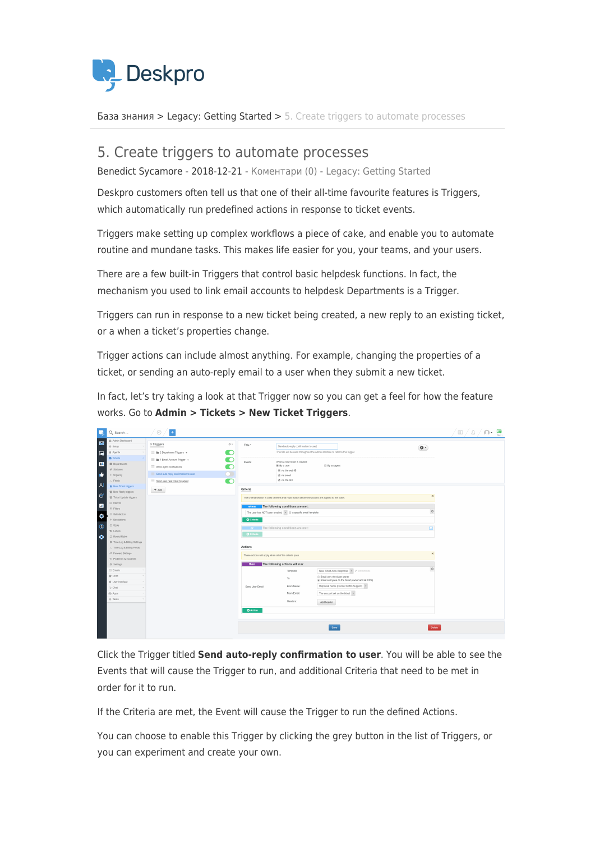

[База знания](https://support.deskpro.com/bg/kb) > [Legacy: Getting Started](https://support.deskpro.com/bg/kb/legacy-getting-started) > [5. Create triggers to automate processes](https://support.deskpro.com/bg/kb/articles/5-create-triggers-to-automate-processes)

## 5. Create triggers to automate processes

Benedict Sycamore - 2018-12-21 - [Коментари \(0\)](#page--1-0) - [Legacy: Getting Started](https://support.deskpro.com/bg/kb/legacy-getting-started)

Deskpro customers often tell us that one of their all-time favourite features is Triggers, which automatically run predefined actions in response to ticket events.

Triggers make setting up complex workflows a piece of cake, and enable you to automate routine and mundane tasks. This makes life easier for you, your teams, and your users.

There are a few built-in Triggers that control basic helpdesk functions. In fact, the mechanism you used to link email accounts to helpdesk Departments is a Trigger.

Triggers can run in response to a new ticket being created, a new reply to an existing ticket, or a when a ticket's properties change.

Trigger actions can include almost anything. For example, changing the properties of a ticket, or sending an auto-reply email to a user when they submit a new ticket.

In fact, let's try taking a look at that Trigger now so you can get a feel for how the feature works. Go to **Admin > Tickets > New Ticket Triggers**.

| m<br>Q Search                                                                                                                               | ⊕                                                                                                                                             |                                                                                                                                                                                       |                                                                                  |                                                                                                       |                                                                                                                                                                             |                | )- 동<br>$\Box / \Delta$ |
|---------------------------------------------------------------------------------------------------------------------------------------------|-----------------------------------------------------------------------------------------------------------------------------------------------|---------------------------------------------------------------------------------------------------------------------------------------------------------------------------------------|----------------------------------------------------------------------------------|-------------------------------------------------------------------------------------------------------|-----------------------------------------------------------------------------------------------------------------------------------------------------------------------------|----------------|-------------------------|
| @ Admin Dashboard<br>$\blacksquare$<br><b>O</b> Setup<br>属<br>& Agents                                                                      | 3 Triggers<br>$\equiv$ <b>la</b> 2 Department Triggers $\sim$                                                                                 | $\Diamond$ v<br>C                                                                                                                                                                     | Title *                                                                          | Send auto-reply confirmation to user                                                                  | This title will be used throughout the admin interface to refer to this trigger                                                                                             | $\mathbf{0}$ - |                         |
| <b>BS</b> Tickets<br>四<br>Ell Departments<br>$\Phi$ Statuses<br>n F<br>I Urgency<br>>. Fields                                               | E III 1 Email Account Trigger +<br>$\equiv$ Send agent notifications<br>Send auto-reply confirmation to user<br>Send user new ticket by agent | $\blacksquare$<br>n<br>O                                                                                                                                                              | Event                                                                            | When a new ticket is created<br>El By a user<br>E via the web O<br>E via email<br>M via the API       | By an agent                                                                                                                                                                 |                |                         |
| $\mathsf{A}$<br>A New Ticket triggers<br>블 New Reply triggers<br>$\infty$<br>월 Ticket Update triggers<br>ED Macros                          | $+$ Add                                                                                                                                       |                                                                                                                                                                                       | Criteria                                                                         | The criteria section is a list of terms that must match before the actions are applied to the ticket. |                                                                                                                                                                             | $\pmb{\times}$ |                         |
| Ш<br><b>T</b> Fibers<br>C Satisfaction<br>۰<br>4 Escalations<br>© SLAs<br>$^{\circ}$<br>% Labels                                            |                                                                                                                                               | The following conditions are met:<br>when<br>The user has NOT been emailed $\mathbf{v}$ $\Box$ a specific email template<br><b>O</b> Criteria<br>or The following conditions are met: |                                                                                  |                                                                                                       | $\circ$<br>n                                                                                                                                                                |                |                         |
| $\bullet$<br>C Round Robin<br>@ Time Log & Billing Settings<br>> Time Log & Billing Fields<br>← Forward Settings<br>₹7 Problems & Incidents |                                                                                                                                               |                                                                                                                                                                                       | O Criteria<br>Actions<br>These actions will apply when all of the criteria pass. |                                                                                                       |                                                                                                                                                                             |                |                         |
| O Settings<br>$\boxdot$ Emails<br>쓸 CRM<br>@ User Interface<br>Ca Chat                                                                      |                                                                                                                                               |                                                                                                                                                                                       | then<br>Send User Email                                                          | The following actions will run:<br>Template:<br>To:<br>From Name:                                     | New Ticket Auto-Response v / edit template<br>Email only the ticket owner<br>@ Email everyone on the ticket (owner and all CC's)<br>Helpdesk Name (Dunder Miffin Support) v | $\circ$        |                         |
| & Apps<br>@ Tasks                                                                                                                           |                                                                                                                                               |                                                                                                                                                                                       | <b>O</b> Action                                                                  | From Email:<br>Headers:                                                                               | The account set on the ticket   =<br>Add header                                                                                                                             |                |                         |
|                                                                                                                                             |                                                                                                                                               |                                                                                                                                                                                       |                                                                                  |                                                                                                       | Save                                                                                                                                                                        | Delete         |                         |

Click the Trigger titled **Send auto-reply confirmation to user**. You will be able to see the Events that will cause the Trigger to run, and additional Criteria that need to be met in order for it to run.

If the Criteria are met, the Event will cause the Trigger to run the defined Actions.

You can choose to enable this Trigger by clicking the grey button in the list of Triggers, or you can experiment and create your own.